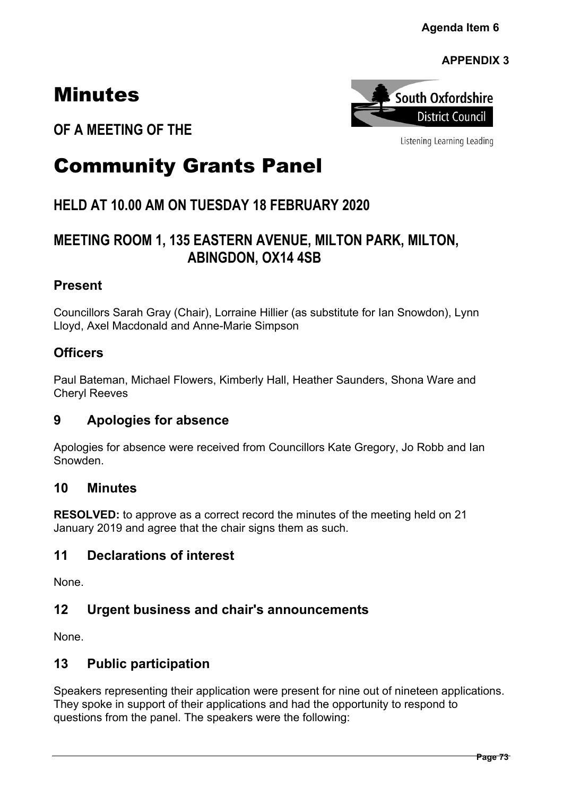# Minutes



Listening Learning Leading

**OF A MEETING OF THE**

# Community Grants Panel

## **HELD AT 10.00 AM ON TUESDAY 18 FEBRUARY 2020**

## **MEETING ROOM 1, 135 EASTERN AVENUE, MILTON PARK, MILTON, ABINGDON, OX14 4SB**

## **Present**

Councillors Sarah Gray (Chair), Lorraine Hillier (as substitute for Ian Snowdon), Lynn Lloyd, Axel Macdonald and Anne-Marie Simpson

## **Officers**

Paul Bateman, Michael Flowers, Kimberly Hall, Heather Saunders, Shona Ware and Cheryl Reeves

## **9 Apologies for absence**

Apologies for absence were received from Councillors Kate Gregory, Jo Robb and Ian Snowden.

### **10 Minutes**

**RESOLVED:** to approve as a correct record the minutes of the meeting held on 21 January 2019 and agree that the chair signs them as such.

## **11 Declarations of interest**

None.

## **12 Urgent business and chair's announcements**

None.

## **13 Public participation**

Speakers representing their application were present for nine out of nineteen applications. They spoke in support of their applications and had the opportunity to respond to questions from the panel. The speakers were the following: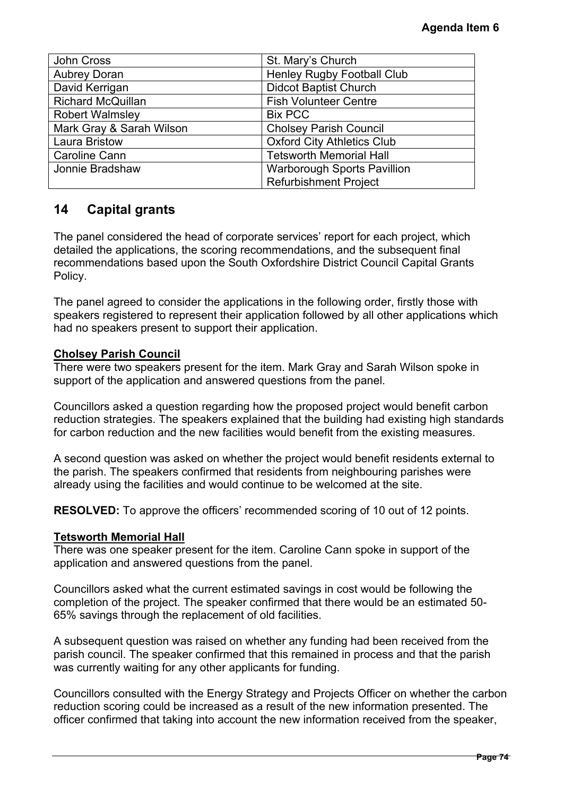|                                                                                                                                                                                                                                                                             | Agenda Item 6                                                                                                                                                                                                                                                                    |  |
|-----------------------------------------------------------------------------------------------------------------------------------------------------------------------------------------------------------------------------------------------------------------------------|----------------------------------------------------------------------------------------------------------------------------------------------------------------------------------------------------------------------------------------------------------------------------------|--|
|                                                                                                                                                                                                                                                                             |                                                                                                                                                                                                                                                                                  |  |
| <b>John Cross</b>                                                                                                                                                                                                                                                           | St. Mary's Church                                                                                                                                                                                                                                                                |  |
| <b>Aubrey Doran</b>                                                                                                                                                                                                                                                         | Henley Rugby Football Club                                                                                                                                                                                                                                                       |  |
| David Kerrigan<br><b>Richard McQuillan</b>                                                                                                                                                                                                                                  | <b>Didcot Baptist Church</b><br><b>Fish Volunteer Centre</b>                                                                                                                                                                                                                     |  |
| <b>Robert Walmsley</b>                                                                                                                                                                                                                                                      | <b>Bix PCC</b>                                                                                                                                                                                                                                                                   |  |
| Mark Gray & Sarah Wilson                                                                                                                                                                                                                                                    |                                                                                                                                                                                                                                                                                  |  |
| Laura Bristow                                                                                                                                                                                                                                                               | <b>Cholsey Parish Council</b><br><b>Oxford City Athletics Club</b>                                                                                                                                                                                                               |  |
| <b>Caroline Cann</b>                                                                                                                                                                                                                                                        | <b>Tetsworth Memorial Hall</b>                                                                                                                                                                                                                                                   |  |
| Jonnie Bradshaw                                                                                                                                                                                                                                                             | <b>Warborough Sports Pavillion</b>                                                                                                                                                                                                                                               |  |
|                                                                                                                                                                                                                                                                             | <b>Refurbishment Project</b>                                                                                                                                                                                                                                                     |  |
|                                                                                                                                                                                                                                                                             |                                                                                                                                                                                                                                                                                  |  |
| 14<br><b>Capital grants</b>                                                                                                                                                                                                                                                 |                                                                                                                                                                                                                                                                                  |  |
| detailed the applications, the scoring recommendations, and the subsequent final<br>Policy.                                                                                                                                                                                 | The panel considered the head of corporate services' report for each project, which<br>recommendations based upon the South Oxfordshire District Council Capital Grants                                                                                                          |  |
| had no speakers present to support their application.                                                                                                                                                                                                                       | The panel agreed to consider the applications in the following order, firstly those with<br>speakers registered to represent their application followed by all other applications which                                                                                          |  |
| <b>Cholsey Parish Council</b><br>support of the application and answered questions from the panel.                                                                                                                                                                          | There were two speakers present for the item. Mark Gray and Sarah Wilson spoke in                                                                                                                                                                                                |  |
| Councillors asked a question regarding how the proposed project would benefit carbon<br>reduction strategies. The speakers explained that the building had existing high standards<br>for carbon reduction and the new facilities would benefit from the existing measures. |                                                                                                                                                                                                                                                                                  |  |
| A second question was asked on whether the project would benefit residents external to<br>the parish. The speakers confirmed that residents from neighbouring parishes were<br>already using the facilities and would continue to be welcomed at the site.                  |                                                                                                                                                                                                                                                                                  |  |
|                                                                                                                                                                                                                                                                             | <b>RESOLVED:</b> To approve the officers' recommended scoring of 10 out of 12 points.                                                                                                                                                                                            |  |
| <b>Tetsworth Memorial Hall</b><br>application and answered questions from the panel.                                                                                                                                                                                        | There was one speaker present for the item. Caroline Cann spoke in support of the                                                                                                                                                                                                |  |
| Councillors asked what the current estimated savings in cost would be following the<br>completion of the project. The speaker confirmed that there would be an estimated 50-<br>65% savings through the replacement of old facilities.                                      |                                                                                                                                                                                                                                                                                  |  |
| was currently waiting for any other applicants for funding.                                                                                                                                                                                                                 | A subsequent question was raised on whether any funding had been received from the<br>parish council. The speaker confirmed that this remained in process and that the parish                                                                                                    |  |
|                                                                                                                                                                                                                                                                             | Councillors consulted with the Energy Strategy and Projects Officer on whether the carbon<br>reduction scoring could be increased as a result of the new information presented. The<br>officer confirmed that taking into account the new information received from the speaker, |  |
|                                                                                                                                                                                                                                                                             | Page 74                                                                                                                                                                                                                                                                          |  |

## **14 Capital grants**

#### **Cholsey Parish Council**

#### **Tetsworth Memorial Hall**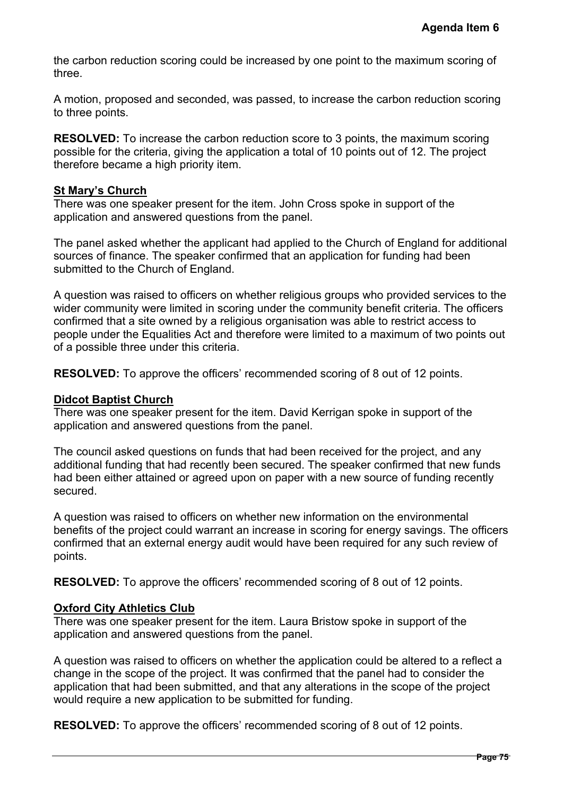the carbon reduction scoring could be increased by one point to the maximum scoring of three.

A motion, proposed and seconded, was passed, to increase the carbon reduction scoring to three points.

**RESOLVED:** To increase the carbon reduction score to 3 points, the maximum scoring possible for the criteria, giving the application a total of 10 points out of 12. The project therefore became a high priority item.

#### **St Mary's Church**

There was one speaker present for the item. John Cross spoke in support of the application and answered questions from the panel.

The panel asked whether the applicant had applied to the Church of England for additional sources of finance. The speaker confirmed that an application for funding had been submitted to the Church of England.

A question was raised to officers on whether religious groups who provided services to the wider community were limited in scoring under the community benefit criteria. The officers confirmed that a site owned by a religious organisation was able to restrict access to people under the Equalities Act and therefore were limited to a maximum of two points out of a possible three under this criteria. Agenda Item 6<br>
mum scoring of<br>
eduction scoring<br>
2. The project<br>
1. The project<br>
1. The project<br>
1. The officers<br>
1. The officers<br>
1. The officers<br>
1. The officers<br>
1. The officers<br>
2. points.<br>
port of the<br>
1. The officers

**RESOLVED:** To approve the officers' recommended scoring of 8 out of 12 points.

#### **Didcot Baptist Church**

There was one speaker present for the item. David Kerrigan spoke in support of the application and answered questions from the panel.

The council asked questions on funds that had been received for the project, and any additional funding that had recently been secured. The speaker confirmed that new funds had been either attained or agreed upon on paper with a new source of funding recently secured.

A question was raised to officers on whether new information on the environmental benefits of the project could warrant an increase in scoring for energy savings. The officers confirmed that an external energy audit would have been required for any such review of points.

**RESOLVED:** To approve the officers' recommended scoring of 8 out of 12 points.

#### **Oxford City Athletics Club**

There was one speaker present for the item. Laura Bristow spoke in support of the application and answered questions from the panel.

A question was raised to officers on whether the application could be altered to a reflect a change in the scope of the project. It was confirmed that the panel had to consider the application that had been submitted, and that any alterations in the scope of the project would require a new application to be submitted for funding.

**RESOLVED:** To approve the officers' recommended scoring of 8 out of 12 points.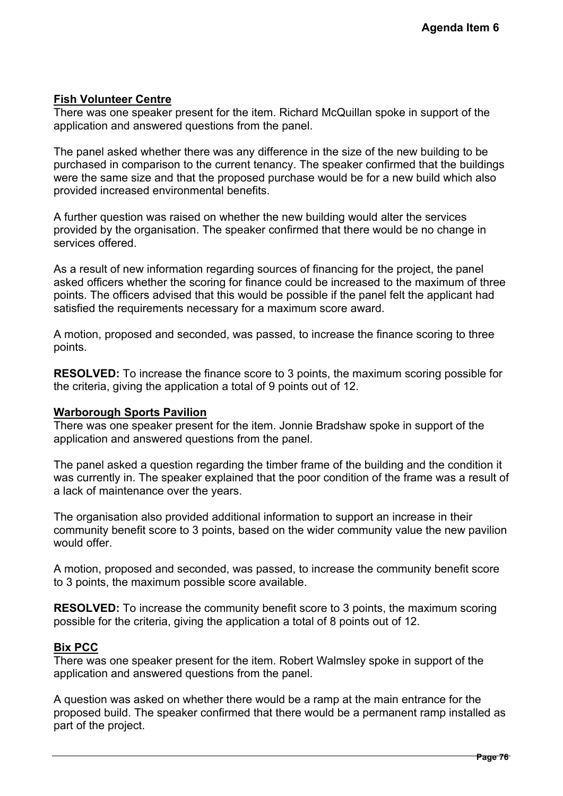#### **Fish Volunteer Centre**

There was one speaker present for the item. Richard McQuillan spoke in support of the application and answered questions from the panel.

The panel asked whether there was any difference in the size of the new building to be purchased in comparison to the current tenancy. The speaker confirmed that the buildings were the same size and that the proposed purchase would be for a new build which also provided increased environmental benefits.

A further question was raised on whether the new building would alter the services provided by the organisation. The speaker confirmed that there would be no change in services offered.

As a result of new information regarding sources of financing for the project, the panel asked officers whether the scoring for finance could be increased to the maximum of three points. The officers advised that this would be possible if the panel felt the applicant had satisfied the requirements necessary for a maximum score award. Agenda Item 6<br>
support of the<br>
building to be<br>
that the buildings<br>
uild which also<br>
services<br>
mo change in<br>
ct, the panel<br>
aximum of three<br>
ring possible for<br>
upport of the<br>
d the condition it<br>
me was a result of<br>
see in t

A motion, proposed and seconded, was passed, to increase the finance scoring to three points.

**RESOLVED:** To increase the finance score to 3 points, the maximum scoring possible for the criteria, giving the application a total of 9 points out of 12.

#### **Warborough Sports Pavilion**

There was one speaker present for the item. Jonnie Bradshaw spoke in support of the application and answered questions from the panel.

The panel asked a question regarding the timber frame of the building and the condition it was currently in. The speaker explained that the poor condition of the frame was a result of a lack of maintenance over the years.

The organisation also provided additional information to support an increase in their community benefit score to 3 points, based on the wider community value the new pavilion would offer.

A motion, proposed and seconded, was passed, to increase the community benefit score to 3 points, the maximum possible score available.

**RESOLVED:** To increase the community benefit score to 3 points, the maximum scoring possible for the criteria, giving the application a total of 8 points out of 12.

#### **Bix PCC**

There was one speaker present for the item. Robert Walmsley spoke in support of the application and answered questions from the panel.

A question was asked on whether there would be a ramp at the main entrance for the proposed build. The speaker confirmed that there would be a permanent ramp installed as part of the project.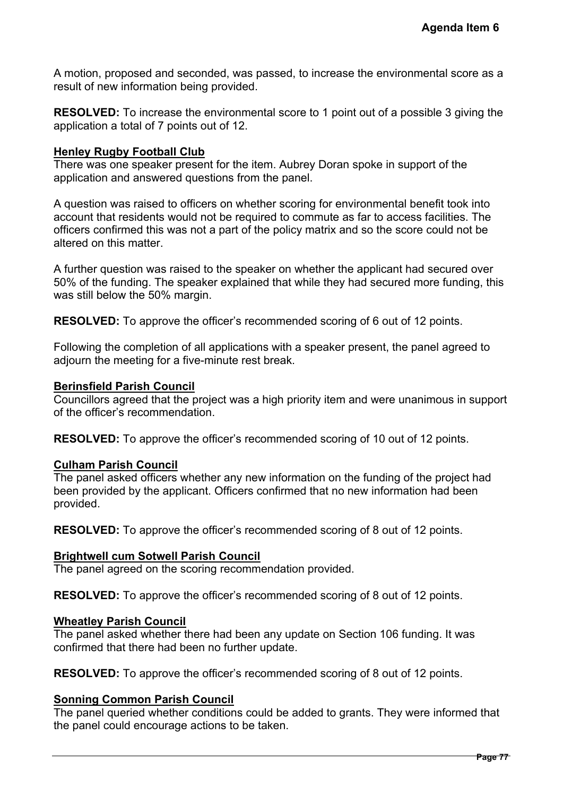A motion, proposed and seconded, was passed, to increase the environmental score as a result of new information being provided.

**RESOLVED:** To increase the environmental score to 1 point out of a possible 3 giving the application a total of 7 points out of 12.

#### **Henley Rugby Football Club**

There was one speaker present for the item. Aubrey Doran spoke in support of the application and answered questions from the panel.

A question was raised to officers on whether scoring for environmental benefit took into account that residents would not be required to commute as far to access facilities. The officers confirmed this was not a part of the policy matrix and so the score could not be altered on this matter. Agenda Item 6<br>
iental score as a<br>
sible 3 giving the<br>
oort of the<br>
inefit took into<br>
facilities. The<br>
could not be<br>
d secured over<br>
ioner funding, this<br>
2 points.<br>
anel agreed to<br>
imous in support<br>
12 points.<br>
2 points.<br>
2

A further question was raised to the speaker on whether the applicant had secured over 50% of the funding. The speaker explained that while they had secured more funding, this was still below the 50% margin.

**RESOLVED:** To approve the officer's recommended scoring of 6 out of 12 points.

Following the completion of all applications with a speaker present, the panel agreed to adjourn the meeting for a five-minute rest break.

#### **Berinsfield Parish Council**

Councillors agreed that the project was a high priority item and were unanimous in support of the officer's recommendation.

**RESOLVED:** To approve the officer's recommended scoring of 10 out of 12 points.

#### **Culham Parish Council**

The panel asked officers whether any new information on the funding of the project had been provided by the applicant. Officers confirmed that no new information had been provided.

**RESOLVED:** To approve the officer's recommended scoring of 8 out of 12 points.

#### **Brightwell cum Sotwell Parish Council**

The panel agreed on the scoring recommendation provided.

**RESOLVED:** To approve the officer's recommended scoring of 8 out of 12 points.

#### **Wheatley Parish Council**

The panel asked whether there had been any update on Section 106 funding. It was confirmed that there had been no further update.

**RESOLVED:** To approve the officer's recommended scoring of 8 out of 12 points.

#### **Sonning Common Parish Council**

The panel queried whether conditions could be added to grants. They were informed that the panel could encourage actions to be taken.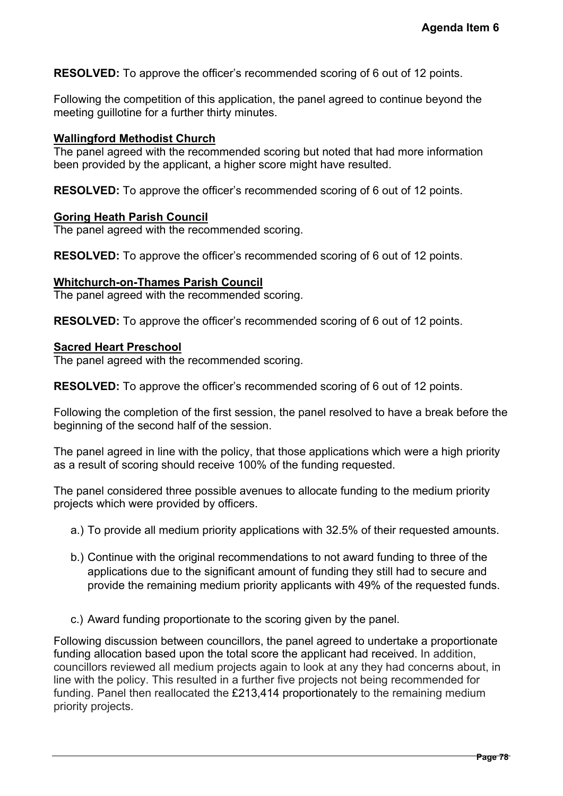**RESOLVED:** To approve the officer's recommended scoring of 6 out of 12 points.

Following the competition of this application, the panel agreed to continue beyond the meeting quillotine for a further thirty minutes.

#### **Wallingford Methodist Church**

The panel agreed with the recommended scoring but noted that had more information been provided by the applicant, a higher score might have resulted.

**RESOLVED:** To approve the officer's recommended scoring of 6 out of 12 points.

#### **Goring Heath Parish Council**

The panel agreed with the recommended scoring.

**RESOLVED:** To approve the officer's recommended scoring of 6 out of 12 points.

#### **Whitchurch-on-Thames Parish Council**

The panel agreed with the recommended scoring.

**RESOLVED:** To approve the officer's recommended scoring of 6 out of 12 points.

#### **Sacred Heart Preschool**

The panel agreed with the recommended scoring.

**RESOLVED:** To approve the officer's recommended scoring of 6 out of 12 points.

Following the completion of the first session, the panel resolved to have a break before the beginning of the second half of the session.

The panel agreed in line with the policy, that those applications which were a high priority as a result of scoring should receive 100% of the funding requested.

The panel considered three possible avenues to allocate funding to the medium priority projects which were provided by officers.

- a.) To provide all medium priority applications with 32.5% of their requested amounts.
- b.) Continue with the original recommendations to not award funding to three of the applications due to the significant amount of funding they still had to secure and provide the remaining medium priority applicants with 49% of the requested funds.
- c.) Award funding proportionate to the scoring given by the panel.

Following discussion between councillors, the panel agreed to undertake a proportionate funding allocation based upon the total score the applicant had received. In addition, councillors reviewed all medium projects again to look at any they had concerns about, in line with the policy. This resulted in a further five projects not being recommended for funding. Panel then reallocated the £213,414 proportionately to the remaining medium priority projects. Agenda Item 6<br>
2 points.<br> **Page 2 points.**<br> **Page 2 points.**<br> **Page 2 points.**<br> **Page 78 Points.**<br> **Page 78 Page 78 Page 78 Page 78 Page 78 Page 78 Page 78**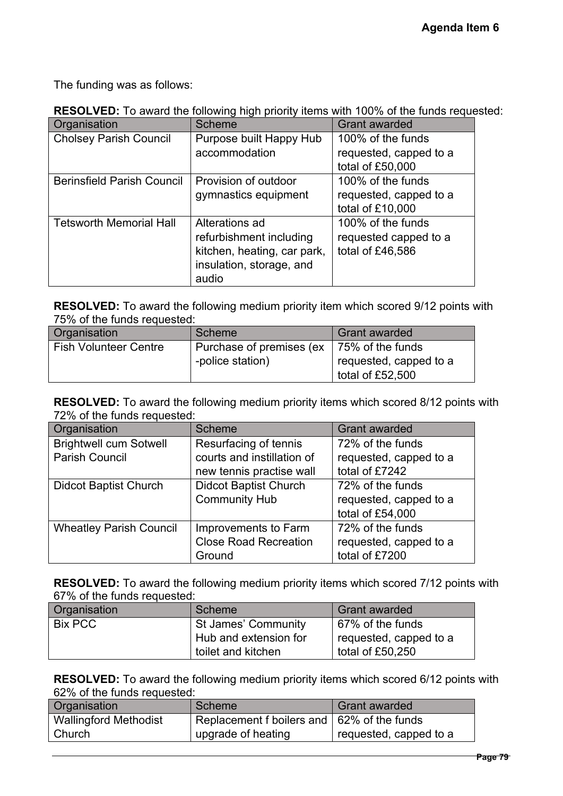**RESOLVED:** To award the following high priority items with 100% of the funds requested:

|                                        |                                                 | Agenda Item 6                                                                                 |
|----------------------------------------|-------------------------------------------------|-----------------------------------------------------------------------------------------------|
|                                        |                                                 |                                                                                               |
|                                        |                                                 |                                                                                               |
| The funding was as follows:            |                                                 |                                                                                               |
|                                        |                                                 | <b>RESOLVED:</b> To award the following high priority items with 100% of the funds requested: |
| Organisation                           | <b>Scheme</b>                                   | <b>Grant awarded</b>                                                                          |
| <b>Cholsey Parish Council</b>          | Purpose built Happy Hub                         | 100% of the funds                                                                             |
|                                        | accommodation                                   | requested, capped to a<br>total of £50,000                                                    |
| <b>Berinsfield Parish Council</b>      | Provision of outdoor                            | 100% of the funds                                                                             |
|                                        | gymnastics equipment                            | requested, capped to a<br>total of £10,000                                                    |
| <b>Tetsworth Memorial Hall</b>         | Alterations ad                                  | 100% of the funds                                                                             |
|                                        | refurbishment including                         | requested capped to a                                                                         |
|                                        | kitchen, heating, car park,                     | total of £46,586                                                                              |
|                                        | insulation, storage, and<br>audio               |                                                                                               |
| 75% of the funds requested:            |                                                 | <b>RESOLVED:</b> To award the following medium priority item which scored 9/12 points with    |
| Organisation                           | Scheme                                          | <b>Grant awarded</b>                                                                          |
| <b>Fish Volunteer Centre</b>           | Purchase of premises (ex-                       | 75% of the funds                                                                              |
|                                        | -police station)                                | requested, capped to a<br>total of £52,500                                                    |
|                                        |                                                 |                                                                                               |
| 72% of the funds requested:            |                                                 | <b>RESOLVED:</b> To award the following medium priority items which scored 8/12 points with   |
| Organisation                           | <b>Scheme</b>                                   | <b>Grant awarded</b>                                                                          |
| <b>Brightwell cum Sotwell</b>          | Resurfacing of tennis                           | 72% of the funds                                                                              |
| <b>Parish Council</b>                  | courts and instillation of                      | requested, capped to a                                                                        |
|                                        | new tennis practise wall                        | total of £7242                                                                                |
| <b>Didcot Baptist Church</b>           | <b>Didcot Baptist Church</b>                    | 72% of the funds                                                                              |
|                                        | <b>Community Hub</b>                            | requested, capped to a<br>total of £54,000                                                    |
| <b>Wheatley Parish Council</b>         | Improvements to Farm                            | 72% of the funds                                                                              |
|                                        | <b>Close Road Recreation</b>                    | requested, capped to a                                                                        |
|                                        | Ground                                          | total of £7200                                                                                |
|                                        |                                                 | <b>RESOLVED:</b> To award the following medium priority items which scored 7/12 points with   |
| 67% of the funds requested:            | <b>Scheme</b>                                   | <b>Grant awarded</b>                                                                          |
| Organisation<br><b>Bix PCC</b>         | St James' Community                             | 67% of the funds                                                                              |
|                                        | Hub and extension for                           | requested, capped to a                                                                        |
|                                        | toilet and kitchen                              | total of £50,250                                                                              |
|                                        |                                                 | <b>RESOLVED:</b> To award the following medium priority items which scored 6/12 points with   |
| 62% of the funds requested:            |                                                 |                                                                                               |
| Organisation                           | <b>Scheme</b>                                   | <b>Grant awarded</b>                                                                          |
| <b>Wallingford Methodist</b><br>Church | Replacement f boilers and<br>upgrade of heating | 62% of the funds<br>requested, capped to a                                                    |

| Organisation                 | Scheme                   | <b>Grant awarded</b>   |
|------------------------------|--------------------------|------------------------|
| <b>Fish Volunteer Centre</b> | Purchase of premises (ex | 75% of the funds       |
|                              | -police station)         | requested, capped to a |
|                              |                          | total of £52,500       |

| Organisation                   | <b>Scheme</b>                | <b>Grant awarded</b>   |
|--------------------------------|------------------------------|------------------------|
| <b>Brightwell cum Sotwell</b>  | Resurfacing of tennis        | 72% of the funds       |
| <b>Parish Council</b>          | courts and instillation of   | requested, capped to a |
|                                | new tennis practise wall     | total of £7242         |
| <b>Didcot Baptist Church</b>   | <b>Didcot Baptist Church</b> | 72% of the funds       |
|                                | <b>Community Hub</b>         | requested, capped to a |
|                                |                              | total of £54,000       |
| <b>Wheatley Parish Council</b> | Improvements to Farm         | 72% of the funds       |
|                                | <b>Close Road Recreation</b> | requested, capped to a |
|                                | Ground                       | total of £7200         |

| Organisation | Scheme                | <b>Grant awarded</b>   |
|--------------|-----------------------|------------------------|
| Bix PCC      | St James' Community   | 67% of the funds       |
|              | Hub and extension for | requested, capped to a |
|              | toilet and kitchen    | total of £50,250       |

| Organisation                 | Scheme                                       | Grant awarded          |
|------------------------------|----------------------------------------------|------------------------|
| <b>Wallingford Methodist</b> | Replacement f boilers and   62% of the funds |                        |
| Church                       | upgrade of heating                           | requested, capped to a |